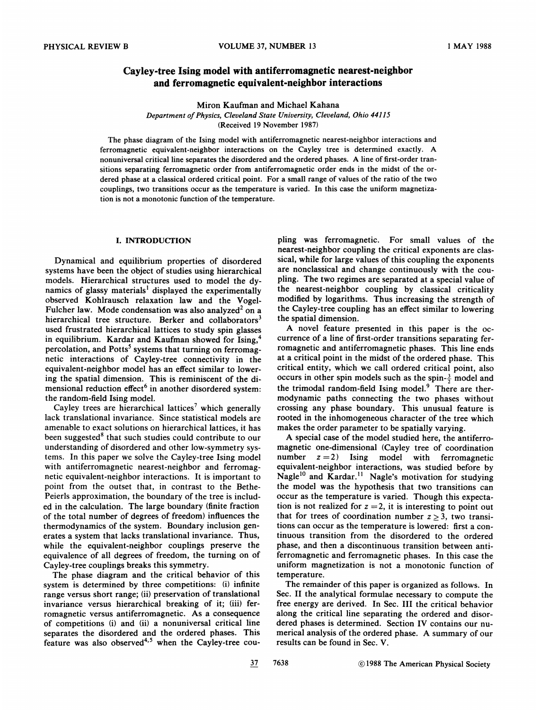# Cayley-tree Ising model with antiferromagnetic nearest-neighbor and ferromagnetic equivalent-neighbor interactions

Miron Kaufman and Michael Kahana

Department of Physics, Cleveland State University, Cleveland, Ohio 44115

(Received 19 November 1987)

The phase diagram of the Ising model with antiferromagnetic nearest-neighbor interactions and ferromagnetic equivalent-neighbor interactions on the Cayley tree is determined exactly. A nonuniversal critical line separates the disordered and the ordered phases. A line of first-order transitions separating ferromagnetic order from antiferromagnetic order ends in the midst of the ordered phase at a classical ordered critical point, For a small range of values of the ratio of the two couplings, two transitions occur as the temperature is varied. In this case the uniform magnetization is not a monotonic function of the temperature.

## I. INTRODUCTION

Dynamical and equilibrium properties of disordered systems have been the object of studies using hierarchical models. Hierarchical structures used to model the dynamics of glassy materials' displayed the experimentally observed Kohlrausch relaxation law and the Vogel-Fulcher law. Mode condensation was also analyzed<sup>2</sup> on a hierarchical tree structure. Berker and collaborators<sup>3</sup> used frustrated hierarchical lattices to study spin glasses in equilibrium. Kardar and Kaufman showed for Ising, percolation, and Potts<sup>5</sup> systems that turning on ferromagnetic interactions of Cayley-tree connectivity in the equivalent-neighbor model has an efFect similar to lowering the spatial dimension. This is reminiscent of the dimensional reduction effect<sup>6</sup> in another disordered system the random-field Ising model.

Cayley trees are hierarchical lattices<sup>7</sup> which generally lack translational invariance. Since statistical models are amenable to exact solutions on hierarchical lattices, it has been suggested<sup>8</sup> that such studies could contribute to our understanding of disordered and other low-symmetry systems. In this paper we solve the Cayley-tree Ising model with antiferromagnetic nearest-neighbor and ferromagnetic equivalent-neighbor interactions. It is important to point from the outset that, in contrast to the Bethe-Peierls approximation, the boundary of the tree is included in the calculation. The large boundary (finite fraction of the total number of degrees of freedom) infiuences the thermodynamics of the system. Boundary inclusion generates a system that lacks translational invariance. Thus, while the equivalent-neighbor couplings preserve the equivalence of all degrees of freedom, the turning on of Cayley-tree couplings breaks this symmetry.

The phase diagram and the critical behavior of this system is determined by three competitions: (i) infinite range versus short range; (ii) preservation of translational invariance versus hierarchical breaking of it; (iii) ferromagnetic versus antiferromagnetic. As a consequence of competitions (i) and (ii) a nonuniversal critical line separates the disordered and the ordered phases. This feature was also observed<sup>4,5</sup> when the Cayley-tree coupling was ferromagnetic. For small values of the nearest-neighbor coupling the critical exponents are classical, while for large values of this coupling the exponents are nonclassical and change continuously with the coupling. The two regimes are separated at a special value of the nearest-neighbor coupling by classical criticality modified by logarithms. Thus increasing the strength of the Cayley-tree coupling has an effect similar to lowering the spatial dimension.

A novel feature presented in this paper is the occurrence of a line of first-order transitions separating ferromagnetic and antiferromagnetic phases. This line ends at a critical point in the midst of the ordered phase. This critical entity, which we call ordered critical point, also occurs in other spin models such as the spin- $\frac{3}{2}$  model and the trimodal random-field Ising model.<sup>9</sup> There are thermodynamic paths connecting the two phases without crossing any phase boundary. This unusual feature is rooted in the inhomogeneous character of the tree which makes the order parameter to be spatially varying.

A special case of the model studied here, the antiferromagnetic one-dimensional (Cayley tree of coordination number  $z = 2$ ) Ising model with ferromagnetic equivalent-neighbor interactions, was studied before by equivalent-neighbor interactions, was studied before b<br>Nagle<sup>10</sup> and Kardar.<sup>11</sup> Nagle's motivation for studyin the model was the hypothesis that two transitions can occur as the temperature is varied. Though this expectation is not realized for  $z = 2$ , it is interesting to point out that for trees of coordination number  $z \geq 3$ , two transitions can occur as the temperature is lowered: first a continuous transition from the disordered to the ordered phase, and then a discontinuous transition between antiferromagnetic and ferromagnetic phases. In this case the uniform magnetization is not a monotonic function of temperature.

The remainder of this paper is organized as follows. In Sec. II the analytical formulae necessary to compute the free energy are derived. In Sec. III the critical behavior along the critical line separating the ordered and disordered phases is determined. Section IV contains our numerical analysis of the ordered phase. A summary of our results can be found in Sec. V.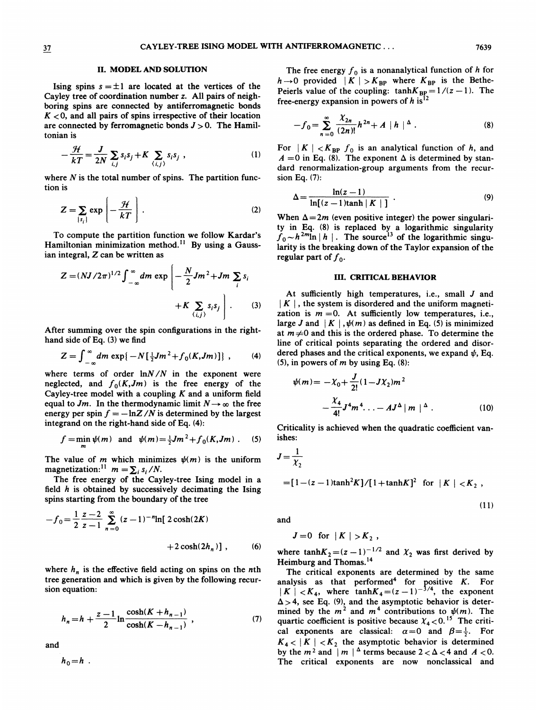$(11)$ 

# II. MODEL AND SOLUTION

Ising spins  $s = \pm 1$  are located at the vertices of the Cayley tree of coordination number z. All pairs of neighboring spins are connected by antiferromagneiic bonds  $K < 0$ , and all pairs of spins irrespective of their location are connected by ferromagnetic bonds  $J > 0$ . The Hamiltonian is

$$
-\frac{\mathcal{H}}{kT} = \frac{J}{2N} \sum_{i,j} s_i s_j + K \sum_{\langle i,j \rangle} s_i s_j \tag{1}
$$

where  $N$  is the total number of spins. The partition function is

$$
Z = \sum_{\{s_i\}} \exp\left[-\frac{\mathcal{H}}{kT}\right].
$$
 (2)

To compute the partition function we follow Kardar's To compute the partition function we follow Kardar's<br>Hamiltonian minimization method.<sup>11</sup> By using a Gauss ian integral, Z can be written as

$$
Z = (NJ/2\pi)^{1/2} \int_{-\infty}^{\infty} dm \exp\left[-\frac{N}{2}Jm^2 + Jm\sum_{i} s_i + K\sum_{(i,j)} s_i s_j\right].
$$
 (3)

After summing over the spin configurations in the righthand side of Eq. (3) we find

$$
Z = \int_{-\infty}^{\infty} dm \exp\{-N[\frac{1}{2}Jm^{2} + f_{0}(K, Jm)]\}, \qquad (4)
$$

where terms of order  $\ln N/N$  in the exponent were neglected, and  $f_0(K, Jm)$  is the free energy of the Cayley-tree model with a coupling  $K$  and a uniform field equal to Jm. In the thermodynamic limit  $N \rightarrow \infty$  the free energy per spin  $f = -\ln Z/N$  is determined by the largest integrand on the right-hand side of Eq. (4):

$$
f = \min_{m} \psi(m)
$$
 and  $\psi(m) = \frac{1}{2}Jm^{2} + f_{0}(K, Jm)$ . (5)

The value of m which minimizes  $\psi(m)$  is the uniform magnetization:<sup>11</sup>  $m = \sum_i s_i / N$ .

The free energy of the Cayley-tree Ising model in a field  $h$  is obtained by successively decimating the Ising spina starting from the boundary of the tree

$$
-f_0 = \frac{1}{2} \frac{z-2}{z-1} \sum_{n=0}^{\infty} (z-1)^{-n} \ln[2 \cosh(2K) + 2 \cosh(2h_n)],
$$
 (6)

where  $h_n$  is the effective field acting on spins on the nth tree generation and which is given by the following recursion equation:

$$
h_n = h + \frac{z - 1}{2} \ln \frac{\cosh(K + h_{n-1})}{\cosh(K - h_{n-1})},
$$
 (7)

and

$$
h_0=h
$$
.

The free energy  $f_0$  is a nonanalytical function of h for  $h \rightarrow 0$  provided  $|K| > K_{BP}$  where  $K_{BP}$  is the Bethe-Peierls value of the coupling:  $tanhK_{BP} = 1/(z - 1)$ . The free-energy expansion in powers of  $h$  is<sup>12</sup>

$$
-f_0 = \sum_{n=0}^{\infty} \frac{\chi_{2n}}{(2n)!} h^{2n} + A |h|^{|\Delta} . \tag{8}
$$

For  $|K| < K_{BP} f_0$  is an analytical function of h, and  $A = 0$  in Eq. (8). The exponent  $\Delta$  is determined by standard renormalization-group arguments from the recursion Eq. (7):

$$
\Delta = \frac{\ln(z-1)}{\ln[(z-1)\tanh|K|]}.
$$
\n(9)

When  $\Delta=2m$  (even positive integer) the power singularity in Eq. (8) is replaced by a logarithmic singularity  $f_0 \sim h^{2m} \ln |h|$ . The source<sup>13</sup> of the logarithmic singu larity is the breaking down of the Taylor expansion of the regular part of  $f_0$ .

## III. CRITICAL BEHAVIOR

At sufficiently high temperatures, i.e., small  $J$  and  $| K |$ , the system is disordered and the uniform magnetization is  $m = 0$ . At sufficiently low temperatures, i.e., large J and  $| K |$ ,  $\psi(m)$  as defined in Eq. (5) is minimized at  $m\neq0$  and this is the ordered phase. To determine the line of critical points separating the ordered and disordered phases and the critical exponents, we expand  $\psi$ . Eq. (5), in powers of  $m$  by using Eq. (8):

$$
\psi(m) = -\chi_0 + \frac{J}{2!} (1 - J\chi_2)m^2
$$
  
 
$$
- \frac{\chi_4}{4!} J^4 m^4 \dots - AJ^{\Delta} |m|^{\Delta} . \qquad (10)
$$

Criticahty is achieved when the quadratic coefficient vanishes:

$$
J = \frac{1}{\chi_2}
$$
  
= [1 - (z - 1) \tanh<sup>2</sup>K]/[1 + \tanh K]<sup>2</sup> for |K| < K<sub>2</sub>,

and

$$
J=0 \text{ for } |K| > K_2,
$$

where tanh $K_2 = (z-1)^{-1/2}$  and  $\chi_2$  was first derived by Heimburg and Thomas.<sup>14</sup>

The critical exponents are determined by the same analysis as that performed<sup>4</sup> for positive K. For  $|K| < K_4$ , where tanh $K_4 = (z - 1)^{-3/4}$ , the exponent  $|K| < K_4$ , where  $\tanh K_4 = (z - 1)^{-\alpha}$ , the exponent  $\Delta > 4$ , see Eq. (9), and the asymptotic behavior is deter-<br>mined by the  $m^2$  and  $m^4$  contributions to  $\psi(m)$ . The<br>quartic coefficient is positive because  $\chi_4 < 0$ .<sup>15</sup> cal exponents are classical:  $\alpha = 0$  and  $\beta = \frac{1}{2}$ . For  $K_4$  <  $|K|$  <  $K_2$  the asymptotic behavior is determined by the  $m^2$  and  $\mid m \mid^{\Delta}$  terms because  $2 < \Delta < 4$  and  $A < 0$ . The critical exponents are now nonclassical and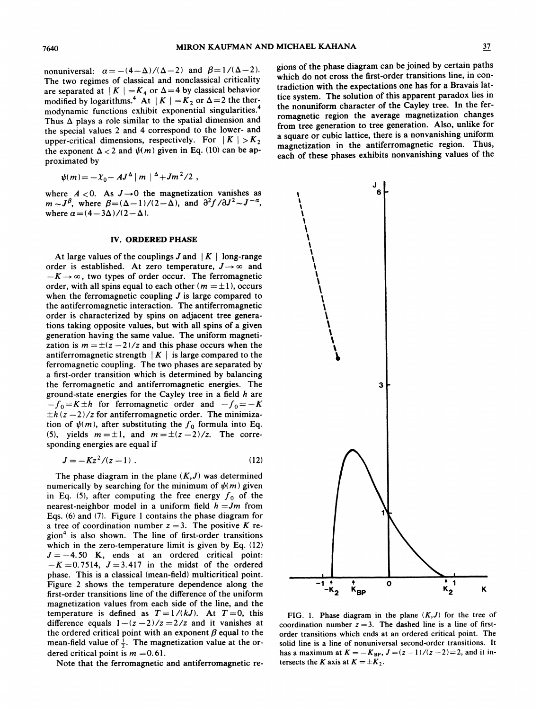nonuniversal:  $\alpha = -(4-\Delta)/(\Delta-2)$  and  $\beta = 1/(\Delta-2)$ . The two regimes of classical and nonclassical criticality are separated at  $|K| = K_4$  or  $\Delta = 4$  by classical behavior modified by logarithms.<sup>4</sup> At  $|K| = K_2$  or  $\Delta = 2$  the thermodynamic functions exhibit exponential singularities. Thus  $\Delta$  plays a role similar to the spatial dimension and the special values 2 and 4 correspond to the lower- and upper-critical dimensions, respectively. For  $|K| > K_2$ the exponent  $\Delta < 2$  and  $\psi(m)$  given in Eq. (10) can be approximated by

$$
\psi(m) = -\chi_0 - AJ^{\Delta} |m|^{ \Delta} + Jm^{2}/2
$$

where  $A < 0$ . As  $J \rightarrow 0$  the magnetization vanishes as  $m \sim J^{\beta}$ , where  $\beta = (\Delta - 1)/(2 - \Delta)$ , and  $\partial^2 f / \partial J^2 \sim J^{-\alpha}$ , where  $\alpha = (4-3\Delta)/(2-\Delta)$ .

# IV. ORDERED PHASE

At large values of the couplings  $J$  and  $\mid K \mid$  long-rang order is established. At zero temperature,  $J \rightarrow \infty$  and  $-K \rightarrow \infty$ , two types of order occur. The ferromagnetic order, with all spins equal to each other ( $m = \pm 1$ ), occurs when the ferromagnetic coupling  $J$  is large compared to the antiferromagnetic interaction. The antiferromagnetic order is characterized by spins on adjacent tree generations taking opposite values, but with all spins of a given generation having the same value. The uniform magnetization is  $m = \pm (z - 2)/z$  and this phase occurs when the antiferromagnetic strength  $|K|$  is large compared to the ferromagnetic coupling. The two phases are separated by a first-order transition which is determined by balancing the ferromagnetic and antiferromagnetic energies. The ground-state energies for the Cayley tree in a field  $h$  are for ferromagnetic and antiferromagnetic energies. The<br>bound-state energies for the Cayley tree in a field h are<br> $f_0 = K \pm h$  for ferromagnetic order and  $-f_0 = -K$  $-f_0 = K \pm h$  for ferromagnetic order and  $-f_0 = -K \pm h (z - 2)/z$  for antiferromagnetic order. The minimization of  $\psi(m)$ , after substituting the  $f_0$  formula into Eq. (5), yields  $m = \pm 1$ , and  $m = \pm (z - 2)/z$ . The corresponding energies are equal if

$$
J = -Kz^2/(z-1) \ . \tag{12}
$$

The phase diagram in the plane  $(K, J)$  was determined numerically by searching for the minimum of  $\psi(m)$  given in Eq. (5), after computing the free energy  $f_0$  of the nearest-neighbor model in a uniform field  $h = Jm$  from Eqs. (6) and (7). Figure <sup>1</sup> contains the phase diagram for a tree of coordination number  $z = 3$ . The positive K region<sup>4</sup> is also shown. The line of first-order transitions which in the zero-temperature limit is given by Eq. (12)  $J = -4.50$  K, ends at an ordered critical point:<br> $-K = 0.7514$ ,  $J = 3.417$  in the midst of the ordered phase. This is a classical (mean-field) multicritical point. Figure 2 shows the temperature dependence along the first-order transitions line of the difference of the uniform magnetization values from each side of the line, and the temperature is defined as  $T = 1/(kJ)$ . At  $T=0$ , this difference equals  $1-(z-2)/z = 2/z$  and it vanishes at the ordered critical point with an exponent  $\beta$  equal to the the ordered critical point with an exponent  $p$  equal to the magnetization value at the ordered critical point is  $m = 0.61$ .

Note that the ferromagnetic and antiferromagnetic re-

gions of the phase diagram can be joined by certain paths which do not cross the first-order transitions line, in contradiction with the expectations one has for a Bravais lattice system. The solution of this apparent paradox lies in the nonuniform character of the Cayley tree. In the ferromagnetic region the average magnetization changes from tree generation to tree generation. Also, unlike for a square or cubic lattice, there is a nonvanishing uniform magnetization in the antiferromagnetic region. Thus, each of these phases exhibits nonvanishing values of the



FIG. 1. Phase diagram in the plane  $(K, J)$  for the tree of coordination number  $z = 3$ . The dashed line is a line of firstorder transitions which ends at an ordered critical point. The solid line is a line of nonuniversal second-order transitions. It has a maximum at  $K = -K_{BP}$ ,  $J = (z - 1)/(z - 2) = 2$ , and it intersects the K axis at  $K = \pm K_2$ .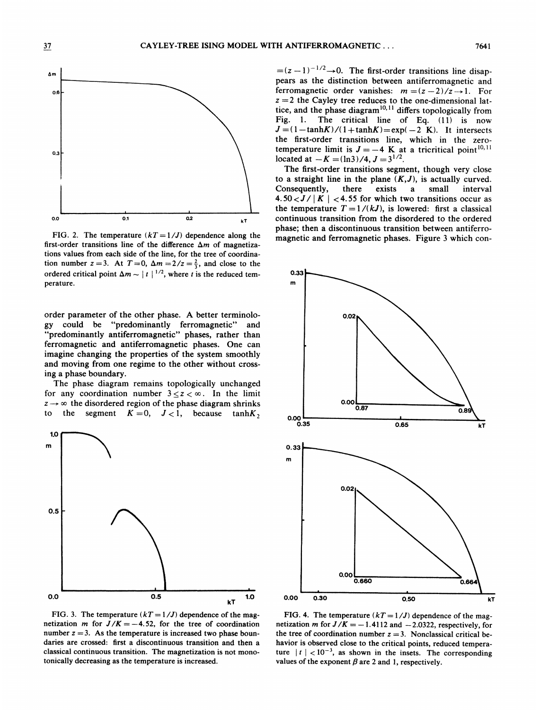

FIG. 2. The temperature  $(kT = 1/J)$  dependence along the first-order transitions line of the difference  $\Delta m$  of magnetizations values from each side of the line, for the tree of coordination number  $z=3$ . At  $T=0$ ,  $\Delta m = 2/z = \frac{2}{3}$ , and close to the ordered critical point  $\Delta m \sim |t|^{1/2}$ , where t is the reduced temperature.

order parameter of the other phase. A better terminology could be "predominantly ferromagnetic" and "predominantly antiferromagnetic" phases, rather than ferromagnetic and antiferromagnetic phases. One can imagine changing the properties of the system smoothly and moving from one regime to the other without crossing a phase boundary.

The phase diagram remains topologically unchanged for any coordination number  $3 \le z \le \infty$ . In the limit  $z \rightarrow \infty$  the disordered region of the phase diagram shrinks to the segment  $K = 0$ ,  $J < 1$ , because tanhK,



FIG. 3. The temperature  $(kT = 1/J)$  dependence of the magnetization m for  $J/K = -4.52$ , for the tree of coordination number  $z = 3$ . As the temperature is increased two phase boundaries are crossed: first a discontinuous transition and then a classical continuous transition. The magnetization is not monotonically decreasing as the temperature is increased.

 $=(z-1)^{-1/2} \rightarrow 0$ . The first-order transitions line disappears as the distinction between antiferromagnetic and ferromagnetic order vanishes:  $m = (z - 2)/z \rightarrow 1$ . For  $z = 2$  the Cayley tree reduces to the one-dimensional lat $z = z$  the Cayley tree reduces to the one-dimensional lattice, and the phase diagram<sup>10,11</sup> differs topologically from Fig. 1. The critical line of Eq. (11) is now  $J = (1-\tanh K)/(1+\tanh K) = \exp(-2$  K). It intersects the first-order transitions line, which in the zerotemperature limit is  $J = -4$  K at a tricritical point<sup>10,11</sup> located at  $-K = (\ln 3)/4$ ,  $J = 3^{1/2}$ .

The first-order transitions segment, though very close to a straight line in the plane  $(K, J)$ , is actually curved. Consequently, there exists a small interval 4.50 $<$ J/ | K |  $<$  4.55 for which two transitions occur as the temperature  $T = 1/(kJ)$ , is lowered: first a classical continuous transition from the djsordered to the ordered phase; then a discontinuous transition between antiferromagnetic and ferromagnetic phases. Figure 3 which con-



FIG. 4. The temperature  $(kT = 1/J)$  dependence of the magnetization m for  $J/K = -1.4112$  and  $-2.0322$ , respectively, for the tree of coordination number  $z = 3$ . Nonclassical critical behavior is observed close to the critical points, reduced temperature  $\vert t \vert < 10^{-3}$ , as shown in the insets. The corresponding values of the exponent  $\beta$  are 2 and 1, respectively.